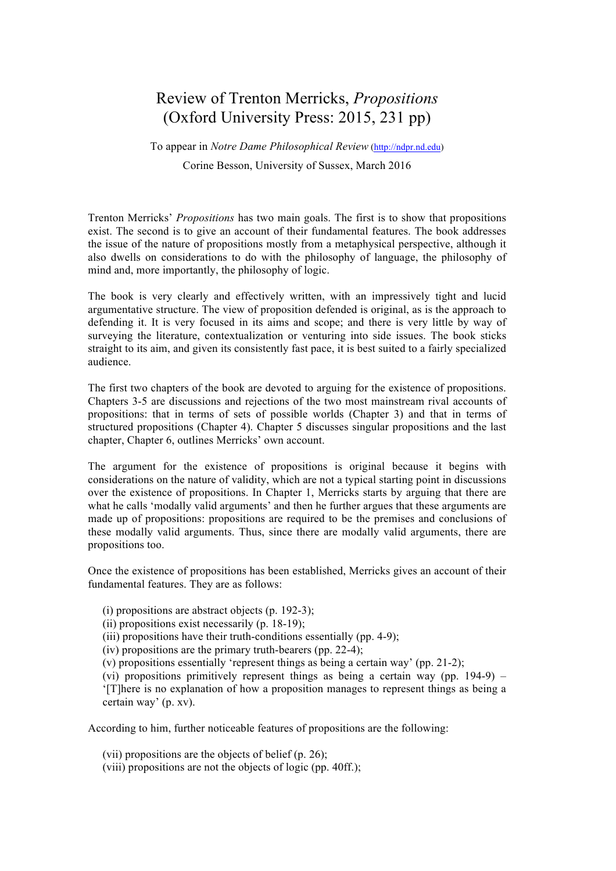## Review of Trenton Merricks, *Propositions* (Oxford University Press: 2015, 231 pp)

To appear in *Notre Dame Philosophical Review* (http://ndpr.nd.edu) Corine Besson, University of Sussex, March 2016

Trenton Merricks' *Propositions* has two main goals. The first is to show that propositions exist. The second is to give an account of their fundamental features. The book addresses the issue of the nature of propositions mostly from a metaphysical perspective, although it also dwells on considerations to do with the philosophy of language, the philosophy of mind and, more importantly, the philosophy of logic.

The book is very clearly and effectively written, with an impressively tight and lucid argumentative structure. The view of proposition defended is original, as is the approach to defending it. It is very focused in its aims and scope; and there is very little by way of surveying the literature, contextualization or venturing into side issues. The book sticks straight to its aim, and given its consistently fast pace, it is best suited to a fairly specialized audience.

The first two chapters of the book are devoted to arguing for the existence of propositions. Chapters 3-5 are discussions and rejections of the two most mainstream rival accounts of propositions: that in terms of sets of possible worlds (Chapter 3) and that in terms of structured propositions (Chapter 4). Chapter 5 discusses singular propositions and the last chapter, Chapter 6, outlines Merricks' own account.

The argument for the existence of propositions is original because it begins with considerations on the nature of validity, which are not a typical starting point in discussions over the existence of propositions. In Chapter 1, Merricks starts by arguing that there are what he calls 'modally valid arguments' and then he further argues that these arguments are made up of propositions: propositions are required to be the premises and conclusions of these modally valid arguments. Thus, since there are modally valid arguments, there are propositions too.

Once the existence of propositions has been established, Merricks gives an account of their fundamental features. They are as follows:

(i) propositions are abstract objects (p. 192-3);

(ii) propositions exist necessarily (p. 18-19);

(iii) propositions have their truth-conditions essentially (pp. 4-9);

(iv) propositions are the primary truth-bearers (pp. 22-4);

(v) propositions essentially 'represent things as being a certain way' (pp. 21-2);

(vi) propositions primitively represent things as being a certain way (pp. 194-9) – '[T]here is no explanation of how a proposition manages to represent things as being a certain way' (p. xv).

According to him, further noticeable features of propositions are the following:

(vii) propositions are the objects of belief (p. 26);

(viii) propositions are not the objects of logic (pp. 40ff.);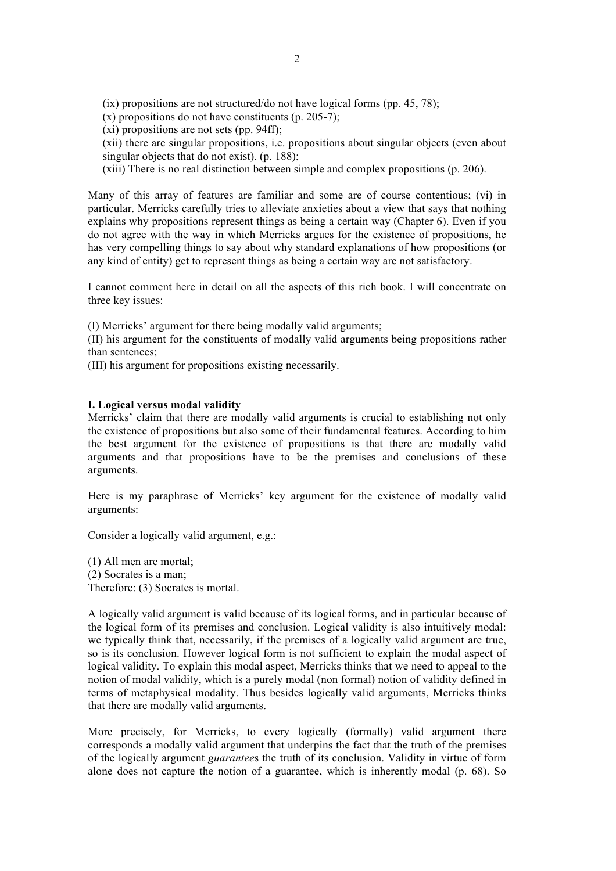(ix) propositions are not structured/do not have logical forms (pp. 45, 78);

 $(x)$  propositions do not have constituents (p. 205-7);

(xi) propositions are not sets (pp. 94ff);

(xii) there are singular propositions, i.e. propositions about singular objects (even about singular objects that do not exist). (p. 188);

(xiii) There is no real distinction between simple and complex propositions (p. 206).

Many of this array of features are familiar and some are of course contentious; (vi) in particular. Merricks carefully tries to alleviate anxieties about a view that says that nothing explains why propositions represent things as being a certain way (Chapter 6). Even if you do not agree with the way in which Merricks argues for the existence of propositions, he has very compelling things to say about why standard explanations of how propositions (or any kind of entity) get to represent things as being a certain way are not satisfactory.

I cannot comment here in detail on all the aspects of this rich book. I will concentrate on three key issues:

(I) Merricks' argument for there being modally valid arguments;

(II) his argument for the constituents of modally valid arguments being propositions rather than sentences;

(III) his argument for propositions existing necessarily.

## **I. Logical versus modal validity**

Merricks' claim that there are modally valid arguments is crucial to establishing not only the existence of propositions but also some of their fundamental features. According to him the best argument for the existence of propositions is that there are modally valid arguments and that propositions have to be the premises and conclusions of these arguments.

Here is my paraphrase of Merricks' key argument for the existence of modally valid arguments:

Consider a logically valid argument, e.g.:

(1) All men are mortal; (2) Socrates is a man; Therefore: (3) Socrates is mortal.

A logically valid argument is valid because of its logical forms, and in particular because of the logical form of its premises and conclusion. Logical validity is also intuitively modal: we typically think that, necessarily, if the premises of a logically valid argument are true, so is its conclusion. However logical form is not sufficient to explain the modal aspect of logical validity. To explain this modal aspect, Merricks thinks that we need to appeal to the notion of modal validity, which is a purely modal (non formal) notion of validity defined in terms of metaphysical modality. Thus besides logically valid arguments, Merricks thinks that there are modally valid arguments.

More precisely, for Merricks, to every logically (formally) valid argument there corresponds a modally valid argument that underpins the fact that the truth of the premises of the logically argument *guarantee*s the truth of its conclusion. Validity in virtue of form alone does not capture the notion of a guarantee, which is inherently modal (p. 68). So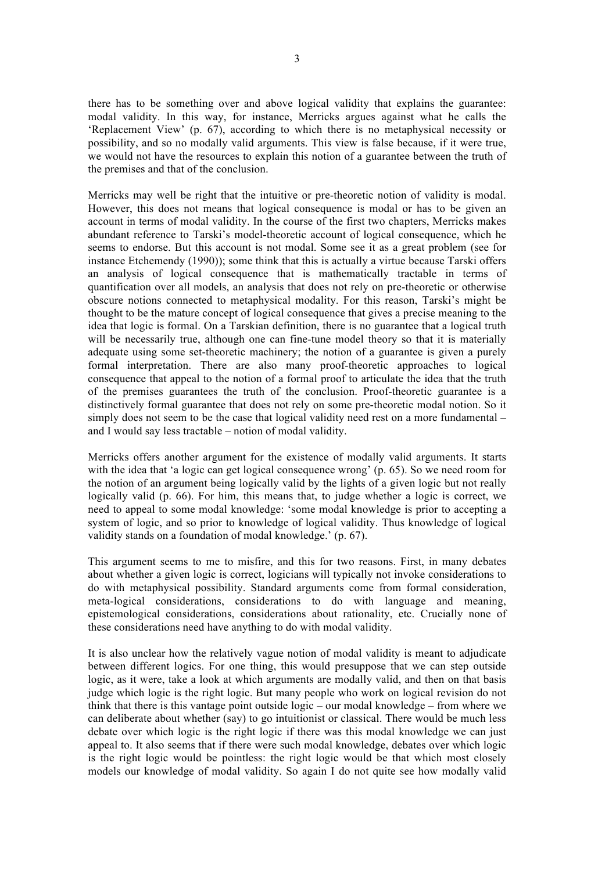there has to be something over and above logical validity that explains the guarantee: modal validity. In this way, for instance, Merricks argues against what he calls the 'Replacement View' (p. 67), according to which there is no metaphysical necessity or possibility, and so no modally valid arguments. This view is false because, if it were true, we would not have the resources to explain this notion of a guarantee between the truth of the premises and that of the conclusion.

Merricks may well be right that the intuitive or pre-theoretic notion of validity is modal. However, this does not means that logical consequence is modal or has to be given an account in terms of modal validity. In the course of the first two chapters, Merricks makes abundant reference to Tarski's model-theoretic account of logical consequence, which he seems to endorse. But this account is not modal. Some see it as a great problem (see for instance Etchemendy (1990)); some think that this is actually a virtue because Tarski offers an analysis of logical consequence that is mathematically tractable in terms of quantification over all models, an analysis that does not rely on pre-theoretic or otherwise obscure notions connected to metaphysical modality. For this reason, Tarski's might be thought to be the mature concept of logical consequence that gives a precise meaning to the idea that logic is formal. On a Tarskian definition, there is no guarantee that a logical truth will be necessarily true, although one can fine-tune model theory so that it is materially adequate using some set-theoretic machinery; the notion of a guarantee is given a purely formal interpretation. There are also many proof-theoretic approaches to logical consequence that appeal to the notion of a formal proof to articulate the idea that the truth of the premises guarantees the truth of the conclusion. Proof-theoretic guarantee is a distinctively formal guarantee that does not rely on some pre-theoretic modal notion. So it simply does not seem to be the case that logical validity need rest on a more fundamental – and I would say less tractable – notion of modal validity.

Merricks offers another argument for the existence of modally valid arguments. It starts with the idea that 'a logic can get logical consequence wrong' (p. 65). So we need room for the notion of an argument being logically valid by the lights of a given logic but not really logically valid (p. 66). For him, this means that, to judge whether a logic is correct, we need to appeal to some modal knowledge: 'some modal knowledge is prior to accepting a system of logic, and so prior to knowledge of logical validity. Thus knowledge of logical validity stands on a foundation of modal knowledge.' (p. 67).

This argument seems to me to misfire, and this for two reasons. First, in many debates about whether a given logic is correct, logicians will typically not invoke considerations to do with metaphysical possibility. Standard arguments come from formal consideration, meta-logical considerations, considerations to do with language and meaning, epistemological considerations, considerations about rationality, etc. Crucially none of these considerations need have anything to do with modal validity.

It is also unclear how the relatively vague notion of modal validity is meant to adjudicate between different logics. For one thing, this would presuppose that we can step outside logic, as it were, take a look at which arguments are modally valid, and then on that basis judge which logic is the right logic. But many people who work on logical revision do not think that there is this vantage point outside logic – our modal knowledge – from where we can deliberate about whether (say) to go intuitionist or classical. There would be much less debate over which logic is the right logic if there was this modal knowledge we can just appeal to. It also seems that if there were such modal knowledge, debates over which logic is the right logic would be pointless: the right logic would be that which most closely models our knowledge of modal validity. So again I do not quite see how modally valid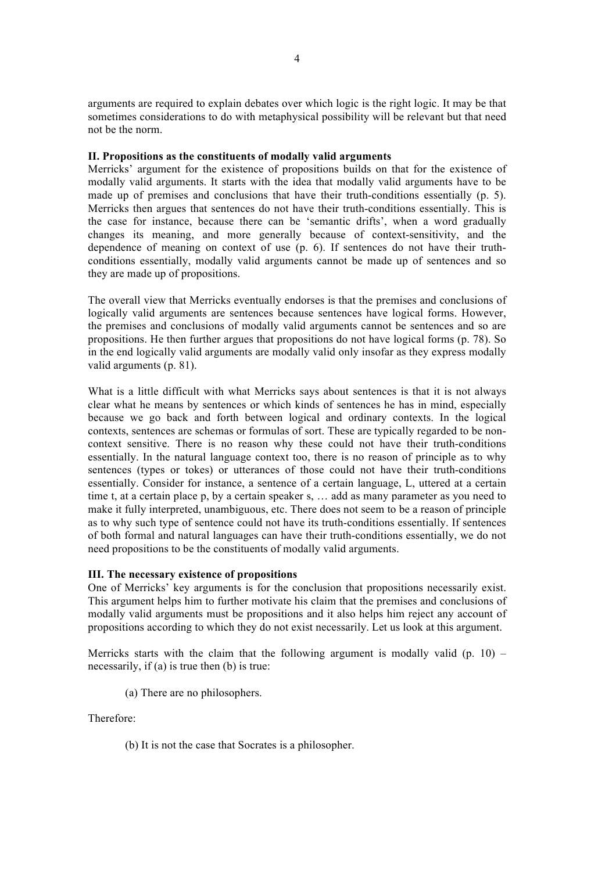arguments are required to explain debates over which logic is the right logic. It may be that sometimes considerations to do with metaphysical possibility will be relevant but that need not be the norm.

## **II. Propositions as the constituents of modally valid arguments**

Merricks' argument for the existence of propositions builds on that for the existence of modally valid arguments. It starts with the idea that modally valid arguments have to be made up of premises and conclusions that have their truth-conditions essentially (p. 5). Merricks then argues that sentences do not have their truth-conditions essentially. This is the case for instance, because there can be 'semantic drifts', when a word gradually changes its meaning, and more generally because of context-sensitivity, and the dependence of meaning on context of use (p. 6). If sentences do not have their truthconditions essentially, modally valid arguments cannot be made up of sentences and so they are made up of propositions.

The overall view that Merricks eventually endorses is that the premises and conclusions of logically valid arguments are sentences because sentences have logical forms. However, the premises and conclusions of modally valid arguments cannot be sentences and so are propositions. He then further argues that propositions do not have logical forms (p. 78). So in the end logically valid arguments are modally valid only insofar as they express modally valid arguments (p. 81).

What is a little difficult with what Merricks says about sentences is that it is not always clear what he means by sentences or which kinds of sentences he has in mind, especially because we go back and forth between logical and ordinary contexts. In the logical contexts, sentences are schemas or formulas of sort. These are typically regarded to be noncontext sensitive. There is no reason why these could not have their truth-conditions essentially. In the natural language context too, there is no reason of principle as to why sentences (types or tokes) or utterances of those could not have their truth-conditions essentially. Consider for instance, a sentence of a certain language, L, uttered at a certain time t, at a certain place p, by a certain speaker s, … add as many parameter as you need to make it fully interpreted, unambiguous, etc. There does not seem to be a reason of principle as to why such type of sentence could not have its truth-conditions essentially. If sentences of both formal and natural languages can have their truth-conditions essentially, we do not need propositions to be the constituents of modally valid arguments.

## **III. The necessary existence of propositions**

One of Merricks' key arguments is for the conclusion that propositions necessarily exist. This argument helps him to further motivate his claim that the premises and conclusions of modally valid arguments must be propositions and it also helps him reject any account of propositions according to which they do not exist necessarily. Let us look at this argument.

Merricks starts with the claim that the following argument is modally valid  $(p, 10)$  – necessarily, if (a) is true then (b) is true:

(a) There are no philosophers.

Therefore:

(b) It is not the case that Socrates is a philosopher.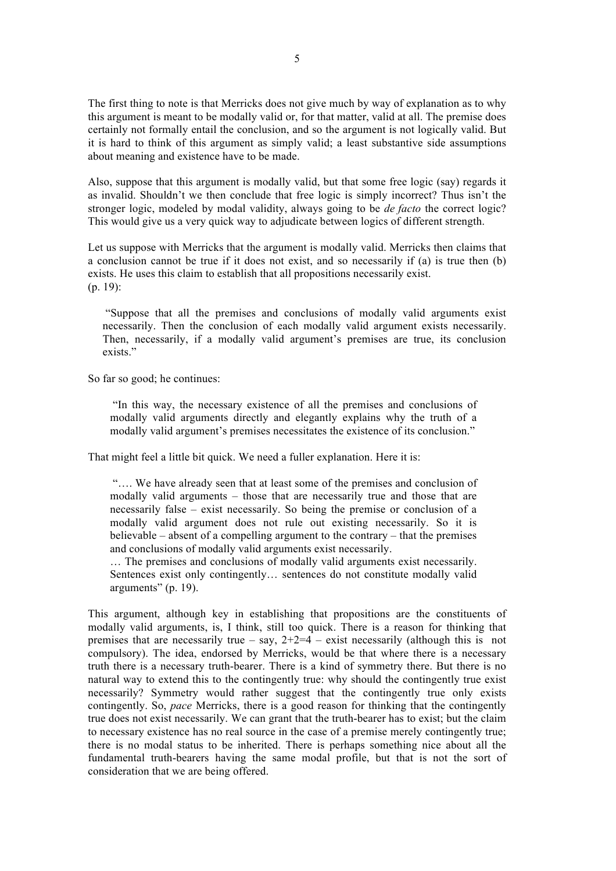The first thing to note is that Merricks does not give much by way of explanation as to why this argument is meant to be modally valid or, for that matter, valid at all. The premise does certainly not formally entail the conclusion, and so the argument is not logically valid. But it is hard to think of this argument as simply valid; a least substantive side assumptions about meaning and existence have to be made.

Also, suppose that this argument is modally valid, but that some free logic (say) regards it as invalid. Shouldn't we then conclude that free logic is simply incorrect? Thus isn't the stronger logic, modeled by modal validity, always going to be *de facto* the correct logic? This would give us a very quick way to adjudicate between logics of different strength.

Let us suppose with Merricks that the argument is modally valid. Merricks then claims that a conclusion cannot be true if it does not exist, and so necessarily if (a) is true then (b) exists. He uses this claim to establish that all propositions necessarily exist. (p. 19):

"Suppose that all the premises and conclusions of modally valid arguments exist necessarily. Then the conclusion of each modally valid argument exists necessarily. Then, necessarily, if a modally valid argument's premises are true, its conclusion exists<sup>"</sup>

So far so good; he continues:

"In this way, the necessary existence of all the premises and conclusions of modally valid arguments directly and elegantly explains why the truth of a modally valid argument's premises necessitates the existence of its conclusion."

That might feel a little bit quick. We need a fuller explanation. Here it is:

"…. We have already seen that at least some of the premises and conclusion of modally valid arguments – those that are necessarily true and those that are necessarily false – exist necessarily. So being the premise or conclusion of a modally valid argument does not rule out existing necessarily. So it is believable – absent of a compelling argument to the contrary – that the premises and conclusions of modally valid arguments exist necessarily.

… The premises and conclusions of modally valid arguments exist necessarily. Sentences exist only contingently… sentences do not constitute modally valid arguments" (p. 19).

This argument, although key in establishing that propositions are the constituents of modally valid arguments, is, I think, still too quick. There is a reason for thinking that premises that are necessarily true – say,  $2+2=4$  – exist necessarily (although this is not compulsory). The idea, endorsed by Merricks, would be that where there is a necessary truth there is a necessary truth-bearer. There is a kind of symmetry there. But there is no natural way to extend this to the contingently true: why should the contingently true exist necessarily? Symmetry would rather suggest that the contingently true only exists contingently. So, *pace* Merricks, there is a good reason for thinking that the contingently true does not exist necessarily. We can grant that the truth-bearer has to exist; but the claim to necessary existence has no real source in the case of a premise merely contingently true; there is no modal status to be inherited. There is perhaps something nice about all the fundamental truth-bearers having the same modal profile, but that is not the sort of consideration that we are being offered.